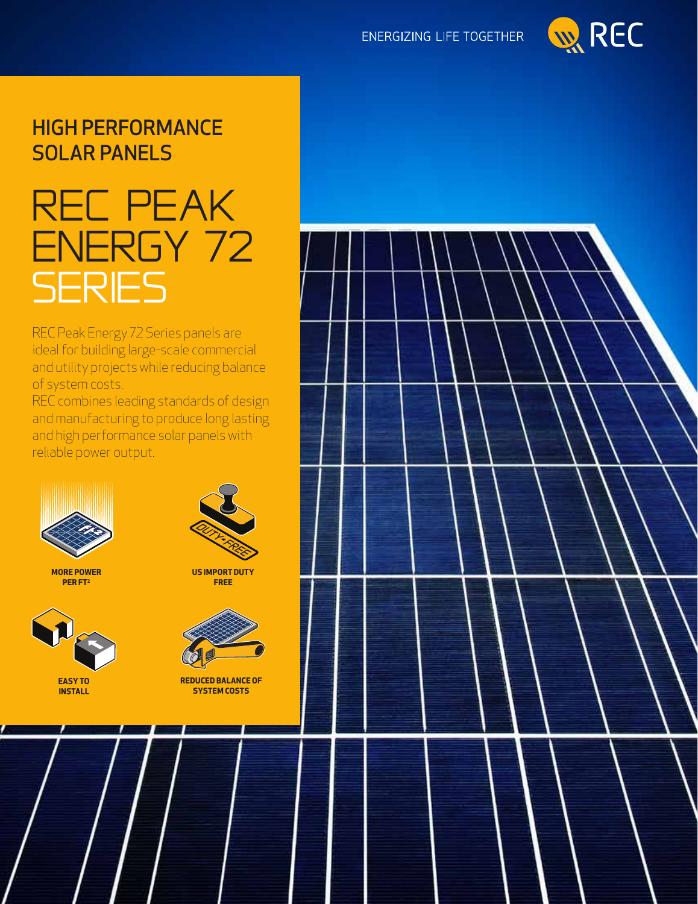### **ENERGIZING LIFE TOGETHER**



## HIGH PERFORMANCE SOLAR Panels

# rec Peak ENERGY 72 **SERIES**

REC Peak Energy 72 Series panels are ideal for building large-scale commercial and utility projects while reducing balance of system costs.

REC combines leading standards of design and manufacturing to produce long lasting and high performance solar panels with reliable power output.



**more power per ft2**



**install**



**us import duty free**



**Reduced balance of system costs**